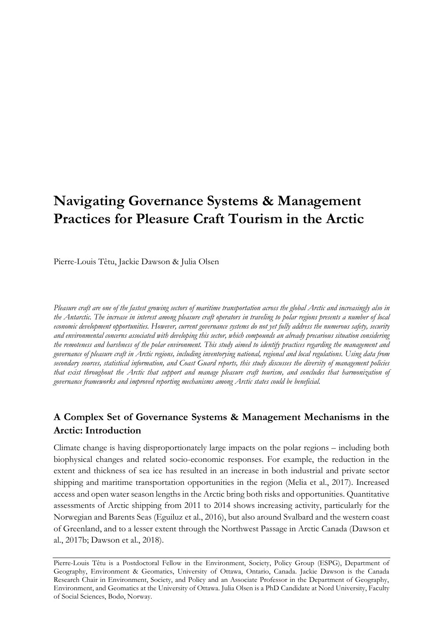# **Navigating Governance Systems & Management Practices for Pleasure Craft Tourism in the Arctic**

Pierre-Louis Têtu, Jackie Dawson & Julia Olsen

*Pleasure craft are one of the fastest growing sectors of maritime transportation across the global Arctic and increasingly also in the Antarctic. The increase in interest among pleasure craft operators in traveling to polar regions presents a number of local economic development opportunities. However, current governance systems do not yet fully address the numerous safety, security and environmental concerns associated with developing this sector, which compounds an already precarious situation considering the remoteness and harshness of the polar environment. This study aimed to identify practices regarding the management and governance of pleasure craft in Arctic regions, including inventorying national, regional and local regulations. Using data from secondary sources, statistical information, and Coast Guard reports, this study discusses the diversity of management policies that exist throughout the Arctic that support and manage pleasure craft tourism, and concludes that harmonization of governance frameworks and improved reporting mechanisms among Arctic states could be beneficial.* 

## **A Complex Set of Governance Systems & Management Mechanisms in the Arctic: Introduction**

Climate change is having disproportionately large impacts on the polar regions – including both biophysical changes and related socio-economic responses. For example, the reduction in the extent and thickness of sea ice has resulted in an increase in both industrial and private sector shipping and maritime transportation opportunities in the region (Melia et al., 2017). Increased access and open water season lengths in the Arctic bring both risks and opportunities. Quantitative assessments of Arctic shipping from 2011 to 2014 shows increasing activity, particularly for the Norwegian and Barents Seas (Eguiluz et al., 2016), but also around Svalbard and the western coast of Greenland, and to a lesser extent through the Northwest Passage in Arctic Canada (Dawson et al., 2017b; Dawson et al., 2018).

Pierre-Louis Têtu is a Postdoctoral Fellow in the Environment, Society, Policy Group (ESPG), Department of Geography, Environment & Geomatics, University of Ottawa, Ontario, Canada. Jackie Dawson is the Canada Research Chair in Environment, Society, and Policy and an Associate Professor in the Department of Geography, Environment, and Geomatics at the University of Ottawa. Julia Olsen is a PhD Candidate at Nord University, Faculty of Social Sciences, Bodø, Norway.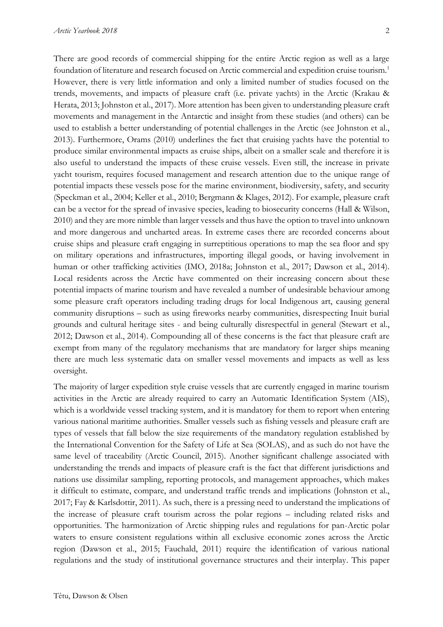There are good records of commercial shipping for the entire Arctic region as well as a large foundation of literature and research focused on Arctic commercial and expedition cruise tourism. 1 However, there is very little information and only a limited number of studies focused on the trends, movements, and impacts of pleasure craft (i.e. private yachts) in the Arctic (Krakau & Herata, 2013; Johnston et al., 2017). More attention has been given to understanding pleasure craft movements and management in the Antarctic and insight from these studies (and others) can be used to establish a better understanding of potential challenges in the Arctic (see Johnston et al., 2013). Furthermore, Orams (2010) underlines the fact that cruising yachts have the potential to produce similar environmental impacts as cruise ships, albeit on a smaller scale and therefore it is also useful to understand the impacts of these cruise vessels. Even still, the increase in private yacht tourism, requires focused management and research attention due to the unique range of potential impacts these vessels pose for the marine environment, biodiversity, safety, and security (Speckman et al., 2004; Keller et al., 2010; Bergmann & Klages, 2012). For example, pleasure craft can be a vector for the spread of invasive species, leading to biosecurity concerns (Hall & Wilson, 2010) and they are more nimble than larger vessels and thus have the option to travel into unknown and more dangerous and uncharted areas. In extreme cases there are recorded concerns about cruise ships and pleasure craft engaging in surreptitious operations to map the sea floor and spy on military operations and infrastructures, importing illegal goods, or having involvement in human or other trafficking activities (IMO, 2018a; Johnston et al., 2017; Dawson et al., 2014). Local residents across the Arctic have commented on their increasing concern about these potential impacts of marine tourism and have revealed a number of undesirable behaviour among some pleasure craft operators including trading drugs for local Indigenous art, causing general community disruptions – such as using fireworks nearby communities, disrespecting Inuit burial grounds and cultural heritage sites - and being culturally disrespectful in general (Stewart et al., 2012; Dawson et al., 2014). Compounding all of these concerns is the fact that pleasure craft are exempt from many of the regulatory mechanisms that are mandatory for larger ships meaning there are much less systematic data on smaller vessel movements and impacts as well as less oversight.

The majority of larger expedition style cruise vessels that are currently engaged in marine tourism activities in the Arctic are already required to carry an Automatic Identification System (AIS), which is a worldwide vessel tracking system, and it is mandatory for them to report when entering various national maritime authorities. Smaller vessels such as fishing vessels and pleasure craft are types of vessels that fall below the size requirements of the mandatory regulation established by the International Convention for the Safety of Life at Sea (SOLAS), and as such do not have the same level of traceability (Arctic Council, 2015). Another significant challenge associated with understanding the trends and impacts of pleasure craft is the fact that different jurisdictions and nations use dissimilar sampling, reporting protocols, and management approaches, which makes it difficult to estimate, compare, and understand traffic trends and implications (Johnston et al., 2017; Fay & Karlsdottir, 2011). As such, there is a pressing need to understand the implications of the increase of pleasure craft tourism across the polar regions – including related risks and opportunities. The harmonization of Arctic shipping rules and regulations for pan-Arctic polar waters to ensure consistent regulations within all exclusive economic zones across the Arctic region (Dawson et al., 2015; Fauchald, 2011) require the identification of various national regulations and the study of institutional governance structures and their interplay. This paper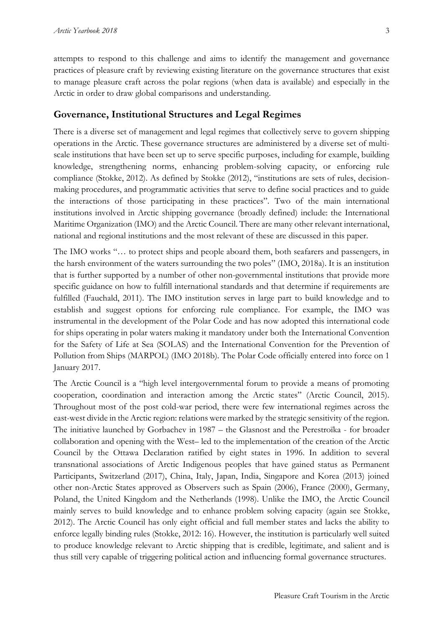attempts to respond to this challenge and aims to identify the management and governance practices of pleasure craft by reviewing existing literature on the governance structures that exist to manage pleasure craft across the polar regions (when data is available) and especially in the Arctic in order to draw global comparisons and understanding.

#### **Governance, Institutional Structures and Legal Regimes**

There is a diverse set of management and legal regimes that collectively serve to govern shipping operations in the Arctic. These governance structures are administered by a diverse set of multiscale institutions that have been set up to serve specific purposes, including for example, building knowledge, strengthening norms, enhancing problem-solving capacity, or enforcing rule compliance (Stokke, 2012). As defined by Stokke (2012), "institutions are sets of rules, decisionmaking procedures, and programmatic activities that serve to define social practices and to guide the interactions of those participating in these practices". Two of the main international institutions involved in Arctic shipping governance (broadly defined) include: the International Maritime Organization (IMO) and the Arctic Council. There are many other relevant international, national and regional institutions and the most relevant of these are discussed in this paper.

The IMO works "… to protect ships and people aboard them, both seafarers and passengers, in the harsh environment of the waters surrounding the two poles" (IMO, 2018a). It is an institution that is further supported by a number of other non-governmental institutions that provide more specific guidance on how to fulfill international standards and that determine if requirements are fulfilled (Fauchald, 2011). The IMO institution serves in large part to build knowledge and to establish and suggest options for enforcing rule compliance. For example, the IMO was instrumental in the development of the Polar Code and has now adopted this international code for ships operating in polar waters making it mandatory under both the International Convention for the Safety of Life at Sea (SOLAS) and the International Convention for the Prevention of Pollution from Ships (MARPOL) (IMO 2018b). The Polar Code officially entered [into force](http://www.imo.org/en/MediaCentre/PressBriefings/Pages/02-Polar-Code.aspx) on 1 January 2017.

The Arctic Council is a "high level intergovernmental forum to provide a means of promoting cooperation, coordination and interaction among the Arctic states" (Arctic Council, 2015). Throughout most of the post cold-war period, there were few international regimes across the east-west divide in the Arctic region: relations were marked by the strategic sensitivity of the region. The initiative launched by Gorbachev in 1987 – the Glasnost and the Perestroïka - for broader collaboration and opening with the West– led to the implementation of the creation of the Arctic Council by the Ottawa Declaration ratified by eight states in 1996. In addition to several transnational associations of Arctic Indigenous peoples that have gained status as Permanent Participants, Switzerland (2017), China, Italy, Japan, India, Singapore and Korea (2013) joined other non-Arctic States approved as Observers such as Spain (2006), France (2000), Germany, Poland, the United Kingdom and the Netherlands (1998). Unlike the IMO, the Arctic Council mainly serves to build knowledge and to enhance problem solving capacity (again see Stokke, 2012). The Arctic Council has only eight official and full member states and lacks the ability to enforce legally binding rules (Stokke, 2012: 16). However, the institution is particularly well suited to produce knowledge relevant to Arctic shipping that is credible, legitimate, and salient and is thus still very capable of triggering political action and influencing formal governance structures.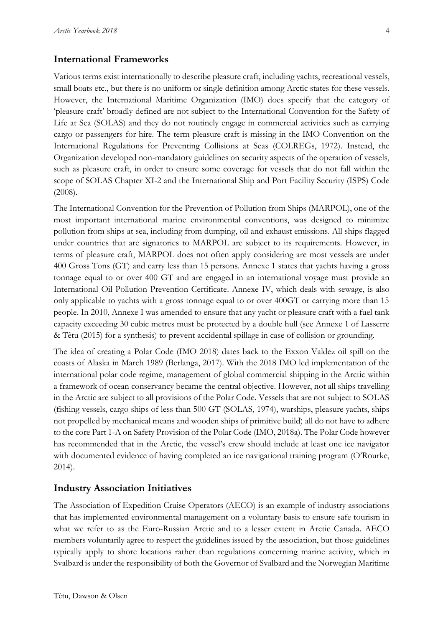### **International Frameworks**

Various terms exist internationally to describe pleasure craft, including yachts, recreational vessels, small boats etc., but there is no uniform or single definition among Arctic states for these vessels. However, the International Maritime Organization (IMO) does specify that the category of 'pleasure craft' broadly defined are not subject to the International Convention for the Safety of Life at Sea (SOLAS) and they do not routinely engage in commercial activities such as carrying cargo or passengers for hire. The term pleasure craft is missing in the IMO Convention on the International Regulations for Preventing Collisions at Seas (COLREGs, 1972). Instead, the Organization developed non-mandatory guidelines on security aspects of the operation of vessels, such as pleasure craft, in order to ensure some coverage for vessels that do not fall within the scope of SOLAS Chapter XI-2 and the International Ship and Port Facility Security (ISPS) Code (2008).

The International Convention for the Prevention of Pollution from Ships (MARPOL), one of the most important international marine environmental conventions, was designed to minimize pollution from ships at sea, including from dumping, oil and exhaust emissions. All ships flagged under countries that are signatories to MARPOL are subject to its requirements. However, in terms of pleasure craft, MARPOL does not often apply considering are most vessels are under 400 Gross Tons (GT) and carry less than 15 persons. Annexe 1 states that yachts having a gross tonnage equal to or over 400 GT and are engaged in an international voyage must provide an International Oil Pollution Prevention Certificate. Annexe IV, which deals with sewage, is also only applicable to yachts with a gross tonnage equal to or over 400GT or carrying more than 15 people. In 2010, Annexe I was amended to ensure that any yacht or pleasure craft with a fuel tank capacity exceeding 30 cubic metres must be protected by a double hull (see Annexe 1 of Lasserre & Têtu (2015) for a synthesis) to prevent accidental spillage in case of collision or grounding.

The idea of creating a Polar Code (IMO 2018) dates back to the Exxon Valdez oil spill on the coasts of Alaska in March 1989 (Berlanga, 2017). With the 2018 IMO led implementation of the international polar code regime, management of global commercial shipping in the Arctic within a framework of ocean conservancy became the central objective. However, not all ships travelling in the Arctic are subject to all provisions of the Polar Code. Vessels that are not subject to SOLAS (fishing vessels, cargo ships of less than 500 GT (SOLAS, 1974), warships, pleasure yachts, ships not propelled by mechanical means and wooden ships of primitive build) all do not have to adhere to the core Part 1-A on Safety Provision of the Polar Code (IMO, 2018a). The Polar Code however has recommended that in the Arctic, the vessel's crew should include at least one ice navigator with documented evidence of having completed an ice navigational training program (O'Rourke, 2014).

#### **Industry Association Initiatives**

The Association of Expedition Cruise Operators (AECO) is an example of industry associations that has implemented environmental management on a voluntary basis to ensure safe tourism in what we refer to as the Euro-Russian Arctic and to a lesser extent in Arctic Canada. AECO members voluntarily agree to respect the guidelines issued by the association, but those guidelines typically apply to shore locations rather than regulations concerning marine activity, which in Svalbard is under the responsibility of both the Governor of Svalbard and the Norwegian Maritime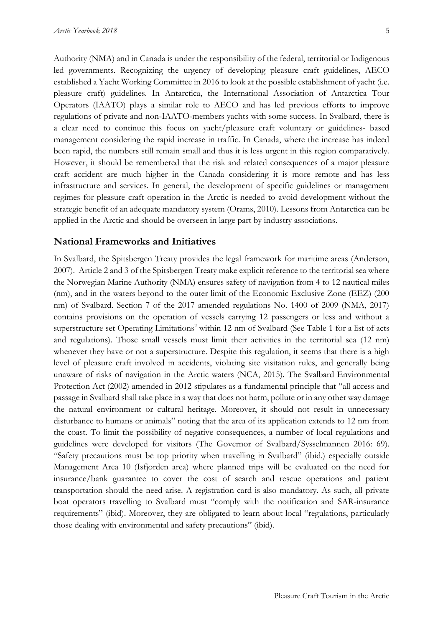Authority (NMA) and in Canada is under the responsibility of the federal, territorial or Indigenous led governments. Recognizing the urgency of developing pleasure craft guidelines, AECO established a Yacht Working Committee in 2016 to look at the possible establishment of yacht (i.e. pleasure craft) guidelines. In Antarctica, the International Association of Antarctica Tour Operators (IAATO) plays a similar role to AECO and has led previous efforts to improve regulations of private and non-IAATO-members yachts with some success. In Svalbard, there is a clear need to continue this focus on yacht/pleasure craft voluntary or guidelines- based management considering the rapid increase in traffic. In Canada, where the increase has indeed been rapid, the numbers still remain small and thus it is less urgent in this region comparatively. However, it should be remembered that the risk and related consequences of a major pleasure craft accident are much higher in the Canada considering it is more remote and has less infrastructure and services. In general, the development of specific guidelines or management regimes for pleasure craft operation in the Arctic is needed to avoid development without the strategic benefit of an adequate mandatory system (Orams, 2010). Lessons from Antarctica can be applied in the Arctic and should be overseen in large part by industry associations.

#### **National Frameworks and Initiatives**

In Svalbard, the Spitsbergen Treaty provides the legal framework for maritime areas (Anderson, 2007). Article 2 and 3 of the Spitsbergen Treaty make explicit reference to the territorial sea where the Norwegian Marine Authority (NMA) ensures safety of navigation from 4 to 12 nautical miles (nm), and in the waters beyond to the outer limit of the Economic Exclusive Zone (EEZ) (200 nm) of Svalbard. Section 7 of the 2017 amended regulations No. 1400 of 2009 (NMA, 2017) contains provisions on the operation of vessels carrying 12 passengers or less and without a superstructure set Operating Limitations<sup>2</sup> within 12 nm of Svalbard (See Table 1 for a list of acts and regulations). Those small vessels must limit their activities in the territorial sea (12 nm) whenever they have or not a superstructure. Despite this regulation, it seems that there is a high level of pleasure craft involved in accidents, violating site visitation rules, and generally being unaware of risks of navigation in the Arctic waters (NCA, 2015). The Svalbard Environmental Protection Act (2002) amended in 2012 stipulates as a fundamental principle that "all access and passage in Svalbard shall take place in a way that does not harm, pollute or in any other way damage the natural environment or cultural heritage. Moreover, it should not result in unnecessary disturbance to humans or animals" noting that the area of its application extends to 12 nm from the coast. To limit the possibility of negative consequences, a number of local regulations and guidelines were developed for visitors (The Governor of Svalbard/Sysselmannen 2016: 69). "Safety precautions must be top priority when travelling in Svalbard" (ibid.) especially outside Management Area 10 (Isfjorden area) where planned trips will be evaluated on the need for insurance/bank guarantee to cover the cost of search and rescue operations and patient transportation should the need arise. A registration card is also mandatory. As such, all private boat operators travelling to Svalbard must "comply with the notification and SAR-insurance requirements" (ibid). Moreover, they are obligated to learn about local "regulations, particularly those dealing with environmental and safety precautions" (ibid).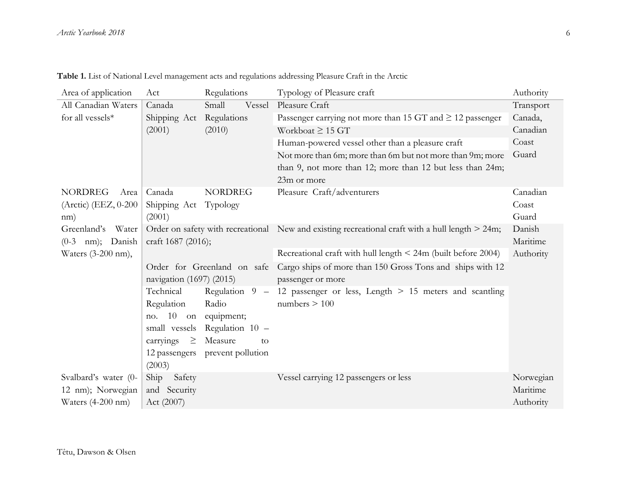| Table 1. List of National Level management acts and regulations addressing Pleasure Craft in the Arctic |  |  |
|---------------------------------------------------------------------------------------------------------|--|--|
|---------------------------------------------------------------------------------------------------------|--|--|

| Area of application         | Act                      | Regulations                   | Typology of Pleasure craft                                                                      | Authority |  |
|-----------------------------|--------------------------|-------------------------------|-------------------------------------------------------------------------------------------------|-----------|--|
| All Canadian Waters         | Canada                   | Small<br>Vessel               | Pleasure Craft                                                                                  | Transport |  |
| for all vessels*            | Shipping Act             | Regulations                   | Passenger carrying not more than 15 GT and $\geq$ 12 passenger                                  | Canada,   |  |
|                             | (2001)                   | (2010)                        | Workboat $\geq$ 15 GT                                                                           | Canadian  |  |
|                             |                          |                               | Human-powered vessel other than a pleasure craft                                                | Coast     |  |
|                             |                          |                               | Not more than 6m; more than 6m but not more than 9m; more                                       | Guard     |  |
|                             |                          |                               | than 9, not more than 12; more than 12 but less than 24m;                                       |           |  |
|                             |                          |                               | 23m or more                                                                                     |           |  |
| <b>NORDREG</b><br>Area      | Canada                   | <b>NORDREG</b>                | Pleasure Craft/adventurers                                                                      | Canadian  |  |
| (Arctic) (EEZ, 0-200        | Shipping Act             | Typology                      |                                                                                                 | Coast     |  |
| nm)                         | (2001)                   |                               |                                                                                                 | Guard     |  |
| Water<br>Greenland's        |                          |                               | Order on safety with recreational New and existing recreational craft with a hull length > 24m; | Danish    |  |
| $(0-3$ nm); Danish          | craft 1687 (2016);       |                               |                                                                                                 | Maritime  |  |
| Waters (3-200 nm),          |                          |                               | Recreational craft with hull length $\leq$ 24m (built before 2004)                              | Authority |  |
| Order for Greenland on safe |                          |                               | Cargo ships of more than 150 Gross Tons and ships with 12                                       |           |  |
|                             | navigation (1697) (2015) |                               | passenger or more                                                                               |           |  |
|                             | Technical                |                               | Regulation $9 - 12$ passenger or less, Length $> 15$ meters and scantling                       |           |  |
|                             | Regulation               | Radio                         | numbers $> 100$                                                                                 |           |  |
|                             | no. 10 on                | equipment;                    |                                                                                                 |           |  |
|                             |                          | small vessels Regulation 10 - |                                                                                                 |           |  |
|                             | carryings<br>$\geq$      | Measure<br>to                 |                                                                                                 |           |  |
|                             | 12 passengers            | prevent pollution             |                                                                                                 |           |  |
|                             | (2003)                   |                               |                                                                                                 |           |  |
| Svalbard's water (0-        | Ship<br>Safety           |                               | Vessel carrying 12 passengers or less                                                           | Norwegian |  |
| 12 nm); Norwegian           | and Security             |                               |                                                                                                 | Maritime  |  |
| Waters $(4-200$ nm)         | Act (2007)               |                               |                                                                                                 | Authority |  |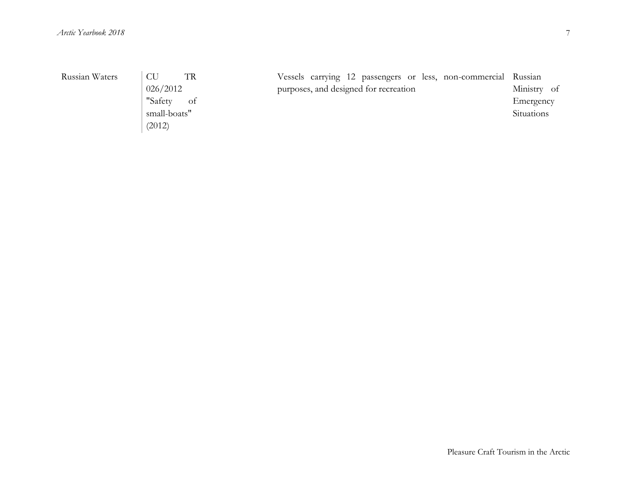| Russian Waters | <b>CU</b><br>026/2012  | TR | purposes, and designed for recreation |  |  | Vessels carrying 12 passengers or less, non-commercial Russian | Ministry of |
|----------------|------------------------|----|---------------------------------------|--|--|----------------------------------------------------------------|-------------|
|                | "Safety                | of |                                       |  |  |                                                                | Emergency   |
|                | small-boats"<br>(2012) |    |                                       |  |  |                                                                | Situations  |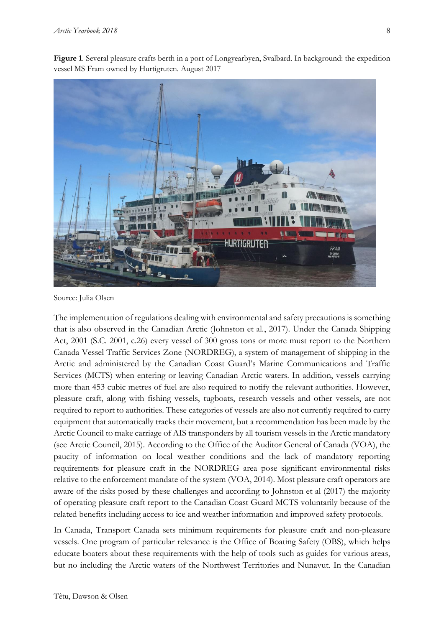**Figure 1**. Several pleasure crafts berth in a port of Longyearbyen, Svalbard. In background: the expedition vessel MS Fram owned by Hurtigruten. August 2017



Source: Julia Olsen

The implementation of regulations dealing with environmental and safety precautions is something that is also observed in the Canadian Arctic (Johnston et al., 2017). Under the Canada Shipping Act, 2001 (S.C. 2001, c.26) every vessel of 300 gross tons or more must report to the Northern Canada Vessel Traffic Services Zone (NORDREG), a system of management of shipping in the Arctic and administered by the Canadian Coast Guard's Marine Communications and Traffic Services (MCTS) when entering or leaving Canadian Arctic waters. In addition, vessels carrying more than 453 cubic metres of fuel are also required to notify the relevant authorities. However, pleasure craft, along with fishing vessels, tugboats, research vessels and other vessels, are not required to report to authorities. These categories of vessels are also not currently required to carry equipment that automatically tracks their movement, but a recommendation has been made by the Arctic Council to make carriage of AIS transponders by all tourism vessels in the Arctic mandatory (see Arctic Council, 2015). According to the Office of the Auditor General of Canada (VOA), the paucity of information on local weather conditions and the lack of mandatory reporting requirements for pleasure craft in the NORDREG area pose significant environmental risks relative to the enforcement mandate of the system (VOA, 2014). Most pleasure craft operators are aware of the risks posed by these challenges and according to Johnston et al (2017) the majority of operating pleasure craft report to the Canadian Coast Guard MCTS voluntarily because of the related benefits including access to ice and weather information and improved safety protocols.

In Canada, Transport Canada sets minimum requirements for pleasure craft and non-pleasure vessels. One program of particular relevance is the Office of Boating Safety (OBS), which helps educate boaters about these requirements with the help of tools such as guides for various areas, but no including the Arctic waters of the Northwest Territories and Nunavut. In the Canadian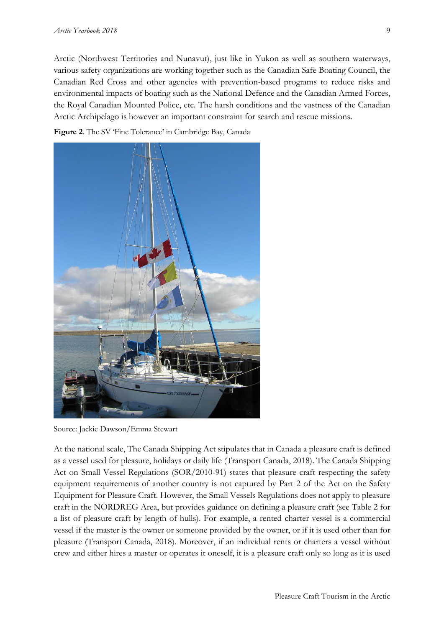Arctic (Northwest Territories and Nunavut), just like in Yukon as well as southern waterways, various safety organizations are working together such as the Canadian Safe Boating Council, the Canadian Red Cross and other agencies with prevention-based programs to reduce risks and environmental impacts of boating such as the National Defence and the Canadian Armed Forces, the Royal Canadian Mounted Police, etc. The harsh conditions and the vastness of the Canadian Arctic Archipelago is however an important constraint for search and rescue missions.





Source: Jackie Dawson/Emma Stewart

At the national scale, The Canada Shipping Act stipulates that in Canada a pleasure craft is defined as a vessel used for pleasure, holidays or daily life (Transport Canada, 2018). The Canada Shipping Act on Small Vessel Regulations (SOR/2010-91) states that pleasure craft respecting the safety equipment requirements of another country is not captured by Part 2 of the Act on the Safety Equipment for Pleasure Craft. However, the Small Vessels Regulations does not apply to pleasure craft in the NORDREG Area, but provides guidance on defining a pleasure craft (see Table 2 for a list of pleasure craft by length of hulls). For example, a rented charter vessel is a commercial vessel if the master is the owner or someone provided by the owner, or if it is used other than for pleasure (Transport Canada, 2018). Moreover, if an individual rents or charters a vessel without crew and either hires a master or operates it oneself, it is a pleasure craft only so long as it is used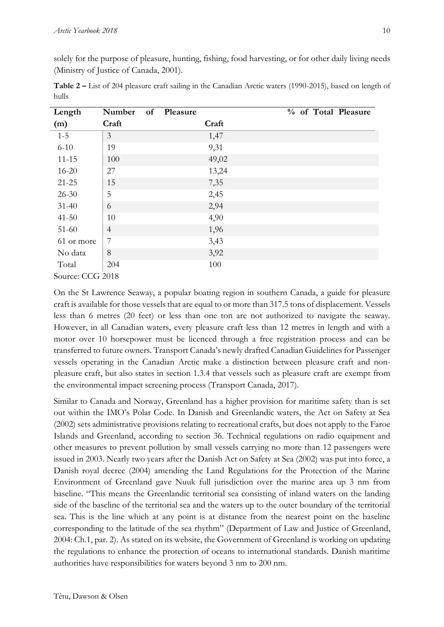solely for the purpose of pleasure, hunting, fishing, food harvesting, or for other daily living needs (Ministry of Justice of Canada, 2001).

|       |  |  | Table 2 – List of 204 pleasure craft sailing in the Canadian Arctic waters (1990-2015), based on length of |
|-------|--|--|------------------------------------------------------------------------------------------------------------|
| hulls |  |  |                                                                                                            |

| Length           | Number         | of Pleasure |       |  |  | % of Total Pleasure |
|------------------|----------------|-------------|-------|--|--|---------------------|
| (m)              | Craft          |             | Craft |  |  |                     |
| $1 - 5$          | 3              |             | 1,47  |  |  |                     |
| $6 - 10$         | 19             |             | 9,31  |  |  |                     |
| $11 - 15$        | 100            |             | 49,02 |  |  |                     |
| $16 - 20$        | 27             |             | 13,24 |  |  |                     |
| $21 - 25$        | 15             |             | 7,35  |  |  |                     |
| $26 - 30$        | 5              |             | 2,45  |  |  |                     |
| $31 - 40$        | 6              |             | 2,94  |  |  |                     |
| $41 - 50$        | 10             |             | 4,90  |  |  |                     |
| $51-60$          | $\overline{4}$ |             | 1,96  |  |  |                     |
| 61 or more       | 7              |             | 3,43  |  |  |                     |
| No data          | 8              |             | 3,92  |  |  |                     |
| Total            | 204            |             | 100   |  |  |                     |
| Source: CCG 2018 |                |             |       |  |  |                     |

On the St Lawrence Seaway, a popular boating region in southern Canada, a guide for pleasure craft is available for those vessels that are equal to or more than 317.5 tons of displacement. Vessels less than 6 metres (20 feet) or less than one ton are not authorized to navigate the seaway. However, in all Canadian waters, every pleasure craft less than 12 metres in length and with a motor over 10 horsepower must be licenced through a free registration process and can be transferred to future owners. Transport Canada's newly drafted Canadian Guidelines for Passenger vessels operating in the Canadian Arctic make a distinction between pleasure craft and nonpleasure craft, but also states in section 1.3.4 that vessels such as pleasure craft are exempt from the environmental impact screening process (Transport Canada, 2017).

Similar to Canada and Norway, Greenland has a higher provision for maritime safety than is set out within the IMO's Polar Code. In Danish and Greenlandic waters, the Act on Safety at Sea (2002) sets administrative provisions relating to recreational crafts, but does not apply to the Faroe Islands and Greenland, according to section 36. Technical regulations on radio equipment and other measures to prevent pollution by small vessels carrying no more than 12 passengers were issued in 2003. Nearly two years after the Danish Act on Safety at Sea (2002) was put into force, a Danish royal decree (2004) amending the Land Regulations for the Protection of the Marine Environment of Greenland gave Nuuk full jurisdiction over the marine area up 3 nm from baseline. "This means the Greenlandic territorial sea consisting of inland waters on the landing side of the baseline of the territorial sea and the waters up to the outer boundary of the territorial sea. This is the line which at any point is at distance from the nearest point on the baseline corresponding to the latitude of the sea rhythm" (Department of Law and Justice of Greenland, 2004: Ch.1, par. 2). As stated on its website, the Government of Greenland is working on updating the regulations to enhance the protection of oceans to international standards. Danish maritime authorities have responsibilities for waters beyond 3 nm to 200 nm.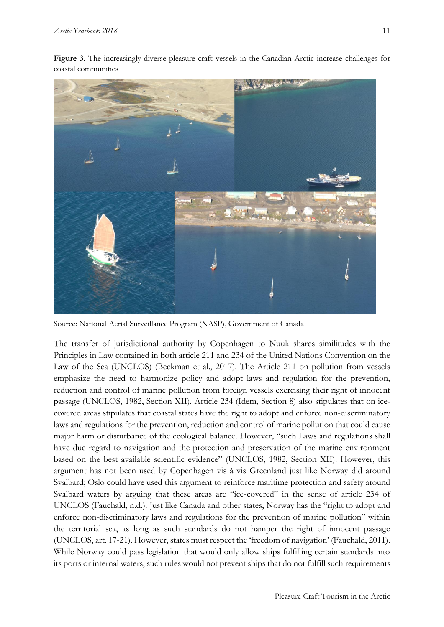

**Figure 3**. The increasingly diverse pleasure craft vessels in the Canadian Arctic increase challenges for coastal communities

Source: National Aerial Surveillance Program (NASP), Government of Canada

The transfer of jurisdictional authority by Copenhagen to Nuuk shares similitudes with the Principles in Law contained in both article 211 and 234 of the United Nations Convention on the Law of the Sea (UNCLOS) (Beckman et al., 2017). The Article 211 on pollution from vessels emphasize the need to harmonize policy and adopt laws and regulation for the prevention, reduction and control of marine pollution from foreign vessels exercising their right of innocent passage (UNCLOS, 1982, Section XII). Article 234 (Idem, Section 8) also stipulates that on icecovered areas stipulates that coastal states have the right to adopt and enforce non-discriminatory laws and regulations for the prevention, reduction and control of marine pollution that could cause major harm or disturbance of the ecological balance. However, "such Laws and regulations shall have due regard to navigation and the protection and preservation of the marine environment based on the best available scientific evidence" (UNCLOS, 1982, Section XII). However, this argument has not been used by Copenhagen vis à vis Greenland just like Norway did around Svalbard; Oslo could have used this argument to reinforce maritime protection and safety around Svalbard waters by arguing that these areas are "ice-covered" in the sense of article 234 of UNCLOS (Fauchald, n.d.). Just like Canada and other states, Norway has the "right to adopt and enforce non-discriminatory laws and regulations for the prevention of marine pollution" within the territorial sea, as long as such standards do not hamper the right of innocent passage (UNCLOS, art. 17-21). However, states must respect the 'freedom of navigation' (Fauchald, 2011). While Norway could pass legislation that would only allow ships fulfilling certain standards into its ports or internal waters, such rules would not prevent ships that do not fulfill such requirements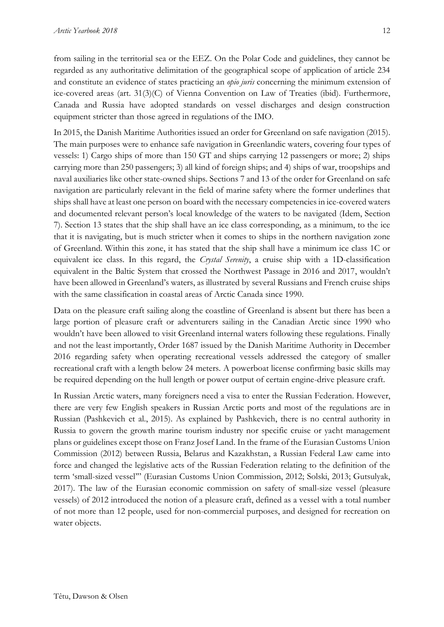from sailing in the territorial sea or the EEZ. On the Polar Code and guidelines, they cannot be regarded as any authoritative delimitation of the geographical scope of application of article 234 and constitute an evidence of states practicing an *opio juris* concerning the minimum extension of ice-covered areas (art. 31(3)(C) of Vienna Convention on Law of Treaties (ibid). Furthermore, Canada and Russia have adopted standards on vessel discharges and design construction equipment stricter than those agreed in regulations of the IMO.

In 2015, the Danish Maritime Authorities issued an order for Greenland on safe navigation (2015). The main purposes were to enhance safe navigation in Greenlandic waters, covering four types of vessels: 1) Cargo ships of more than 150 GT and ships carrying 12 passengers or more; 2) ships carrying more than 250 passengers; 3) all kind of foreign ships; and 4) ships of war, troopships and naval auxiliaries like other state-owned ships. Sections 7 and 13 of the order for Greenland on safe navigation are particularly relevant in the field of marine safety where the former underlines that ships shall have at least one person on board with the necessary competencies in ice-covered waters and documented relevant person's local knowledge of the waters to be navigated (Idem, Section 7). Section 13 states that the ship shall have an ice class corresponding, as a minimum, to the ice that it is navigating, but is much stricter when it comes to ships in the northern navigation zone of Greenland. Within this zone, it has stated that the ship shall have a minimum ice class 1C or equivalent ice class. In this regard, the *Crystal Serenity*, a cruise ship with a 1D-classification equivalent in the Baltic System that crossed the Northwest Passage in 2016 and 2017, wouldn't have been allowed in Greenland's waters, as illustrated by several Russians and French cruise ships with the same classification in coastal areas of Arctic Canada since 1990.

Data on the pleasure craft sailing along the coastline of Greenland is absent but there has been a large portion of pleasure craft or adventurers sailing in the Canadian Arctic since 1990 who wouldn't have been allowed to visit Greenland internal waters following these regulations. Finally and not the least importantly, Order 1687 issued by the Danish Maritime Authority in December 2016 regarding safety when operating recreational vessels addressed the category of smaller recreational craft with a length below 24 meters. A powerboat license confirming basic skills may be required depending on the hull length or power output of certain engine-drive pleasure craft.

In Russian Arctic waters, many foreigners need a visa to enter the Russian Federation. However, there are very few English speakers in Russian Arctic ports and most of the regulations are in Russian (Pashkevich et al., 2015). As explained by Pashkevich, there is no central authority in Russia to govern the growth marine tourism industry nor specific cruise or yacht management plans or guidelines except those on Franz Josef Land. In the frame of the Eurasian Customs Union Commission (2012) between Russia, Belarus and Kazakhstan, a Russian Federal Law came into force and changed the legislative acts of the Russian Federation relating to the definition of the term 'small-sized vessel'" (Eurasian Customs Union Commission, 2012; Solski, 2013; Gutsulyak, 2017). The law of the Eurasian economic commission on safety of small-size vessel (pleasure vessels) of 2012 introduced the notion of a pleasure craft, defined as a vessel with a total number of not more than 12 people, used for non-commercial purposes, and designed for recreation on water objects.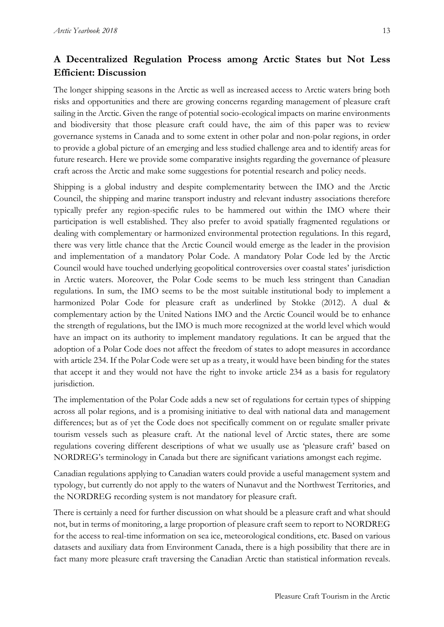## **A Decentralized Regulation Process among Arctic States but Not Less Efficient: Discussion**

The longer shipping seasons in the Arctic as well as increased access to Arctic waters bring both risks and opportunities and there are growing concerns regarding management of pleasure craft sailing in the Arctic. Given the range of potential socio-ecological impacts on marine environments and biodiversity that those pleasure craft could have, the aim of this paper was to review governance systems in Canada and to some extent in other polar and non-polar regions, in order to provide a global picture of an emerging and less studied challenge area and to identify areas for future research. Here we provide some comparative insights regarding the governance of pleasure craft across the Arctic and make some suggestions for potential research and policy needs.

Shipping is a global industry and despite complementarity between the IMO and the Arctic Council, the shipping and marine transport industry and relevant industry associations therefore typically prefer any region-specific rules to be hammered out within the IMO where their participation is well established. They also prefer to avoid spatially fragmented regulations or dealing with complementary or harmonized environmental protection regulations. In this regard, there was very little chance that the Arctic Council would emerge as the leader in the provision and implementation of a mandatory Polar Code. A mandatory Polar Code led by the Arctic Council would have touched underlying geopolitical controversies over coastal states' jurisdiction in Arctic waters. Moreover, the Polar Code seems to be much less stringent than Canadian regulations. In sum, the IMO seems to be the most suitable institutional body to implement a harmonized Polar Code for pleasure craft as underlined by Stokke (2012). A dual & complementary action by the United Nations IMO and the Arctic Council would be to enhance the strength of regulations, but the IMO is much more recognized at the world level which would have an impact on its authority to implement mandatory regulations. It can be argued that the adoption of a Polar Code does not affect the freedom of states to adopt measures in accordance with article 234. If the Polar Code were set up as a treaty, it would have been binding for the states that accept it and they would not have the right to invoke article 234 as a basis for regulatory jurisdiction.

The implementation of the Polar Code adds a new set of regulations for certain types of shipping across all polar regions, and is a promising initiative to deal with national data and management differences; but as of yet the Code does not specifically comment on or regulate smaller private tourism vessels such as pleasure craft. At the national level of Arctic states, there are some regulations covering different descriptions of what we usually use as 'pleasure craft' based on NORDREG's terminology in Canada but there are significant variations amongst each regime.

Canadian regulations applying to Canadian waters could provide a useful management system and typology, but currently do not apply to the waters of Nunavut and the Northwest Territories, and the NORDREG recording system is not mandatory for pleasure craft.

There is certainly a need for further discussion on what should be a pleasure craft and what should not, but in terms of monitoring, a large proportion of pleasure craft seem to report to NORDREG for the access to real-time information on sea ice, meteorological conditions, etc. Based on various datasets and auxiliary data from Environment Canada, there is a high possibility that there are in fact many more pleasure craft traversing the Canadian Arctic than statistical information reveals.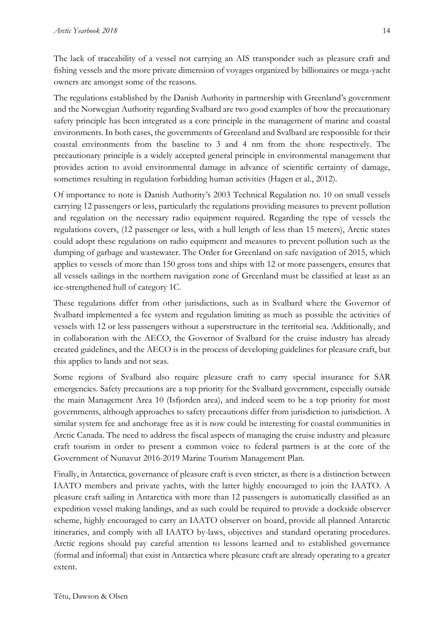The lack of traceability of a vessel not carrying an AIS transponder such as pleasure craft and fishing vessels and the more private dimension of voyages organized by billionaires or mega-yacht owners are amongst some of the reasons.

The regulations established by the Danish Authority in partnership with Greenland's government and the Norwegian Authority regarding Svalbard are two good examples of how the precautionary safety principle has been integrated as a core principle in the management of marine and coastal environments. In both cases, the governments of Greenland and Svalbard are responsible for their coastal environments from the baseline to 3 and 4 nm from the shore respectively. The precautionary principle is a widely accepted general principle in environmental management that provides action to avoid environmental damage in advance of scientific certainty of damage, sometimes resulting in regulation forbidding human activities (Hagen et al., 2012).

Of importance to note is Danish Authority's 2003 Technical Regulation no. 10 on small vessels carrying 12 passengers or less, particularly the regulations providing measures to prevent pollution and regulation on the necessary radio equipment required. Regarding the type of vessels the regulations covers, (12 passenger or less, with a hull length of less than 15 meters), Arctic states could adopt these regulations on radio equipment and measures to prevent pollution such as the dumping of garbage and wastewater. The Order for Greenland on safe navigation of 2015, which applies to vessels of more than 150 gross tons and ships with 12 or more passengers, ensures that all vessels sailings in the northern navigation zone of Greenland must be classified at least as an ice-strengthened hull of category 1C.

These regulations differ from other jurisdictions, such as in Svalbard where the Governor of Svalbard implemented a fee system and regulation limiting as much as possible the activities of vessels with 12 or less passengers without a superstructure in the territorial sea. Additionally, and in collaboration with the AECO, the Governor of Svalbard for the cruise industry has already created guidelines, and the AECO is in the process of developing guidelines for pleasure craft, but this applies to lands and not seas.

Some regions of Svalbard also require pleasure craft to carry special insurance for SAR emergencies. Safety precautions are a top priority for the Svalbard government, especially outside the main Management Area 10 (Isfjorden area), and indeed seem to be a top priority for most governments, although approaches to safety precautions differ from jurisdiction to jurisdiction. A similar system fee and anchorage free as it is now could be interesting for coastal communities in Arctic Canada. The need to address the fiscal aspects of managing the cruise industry and pleasure craft tourism in order to present a common voice to federal partners is at the core of the Government of Nunavut 2016-2019 Marine Tourism Management Plan.

Finally, in Antarctica, governance of pleasure craft is even stricter, as there is a distinction between IAATO members and private yachts, with the latter highly encouraged to join the IAATO. A pleasure craft sailing in Antarctica with more than 12 passengers is automatically classified as an expedition vessel making landings, and as such could be required to provide a dockside observer scheme, highly encouraged to carry an IAATO observer on board, provide all planned Antarctic itineraries, and comply with all IAATO by-laws, objectives and standard operating procedures. Arctic regions should pay careful attention to lessons learned and to established governance (formal and informal) that exist in Antarctica where pleasure craft are already operating to a greater extent.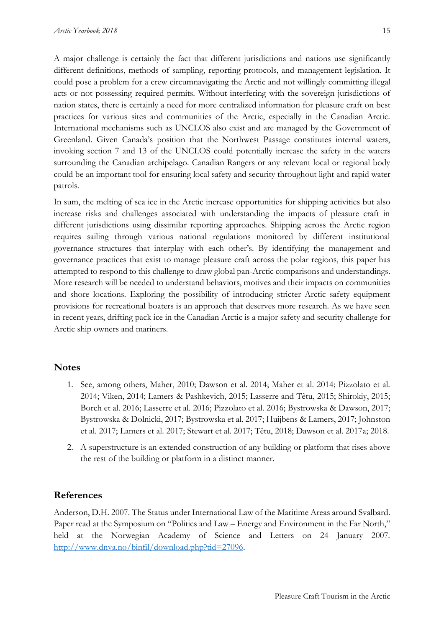A major challenge is certainly the fact that different jurisdictions and nations use significantly different definitions, methods of sampling, reporting protocols, and management legislation. It could pose a problem for a crew circumnavigating the Arctic and not willingly committing illegal acts or not possessing required permits. Without interfering with the sovereign jurisdictions of nation states, there is certainly a need for more centralized information for pleasure craft on best practices for various sites and communities of the Arctic, especially in the Canadian Arctic. International mechanisms such as UNCLOS also exist and are managed by the Government of Greenland. Given Canada's position that the Northwest Passage constitutes internal waters, invoking section 7 and 13 of the UNCLOS could potentially increase the safety in the waters surrounding the Canadian archipelago. Canadian Rangers or any relevant local or regional body could be an important tool for ensuring local safety and security throughout light and rapid water patrols.

In sum, the melting of sea ice in the Arctic increase opportunities for shipping activities but also increase risks and challenges associated with understanding the impacts of pleasure craft in different jurisdictions using dissimilar reporting approaches. Shipping across the Arctic region requires sailing through various national regulations monitored by different institutional governance structures that interplay with each other's. By identifying the management and governance practices that exist to manage pleasure craft across the polar regions, this paper has attempted to respond to this challenge to draw global pan-Arctic comparisons and understandings. More research will be needed to understand behaviors, motives and their impacts on communities and shore locations. Exploring the possibility of introducing stricter Arctic safety equipment provisions for recreational boaters is an approach that deserves more research. As we have seen in recent years, drifting pack ice in the Canadian Arctic is a major safety and security challenge for Arctic ship owners and mariners.

#### **Notes**

- 1. See, among others, Maher, 2010; Dawson et al. 2014; Maher et al. 2014; Pizzolato et al. 2014; Viken, 2014; Lamers & Pashkevich, 2015; Lasserre and Têtu, 2015; Shirokiy, 2015; Borch et al. 2016; Lasserre et al. 2016; Pizzolato et al. 2016; Bystrowska & Dawson, 2017; Bystrowska & Dolnicki, 2017; Bystrowska et al. 2017; Huijbens & Lamers, 2017; Johnston et al. 2017; Lamers et al. 2017; Stewart et al. 2017; Têtu, 2018; Dawson et al. 2017a; 2018.
- 2. A superstructure is an extended construction of any building or platform that rises above the rest of the building or platform in a distinct manner.

#### **References**

Anderson, D.H. 2007. The Status under International Law of the Maritime Areas around Svalbard. Paper read at the Symposium on "Politics and Law – Energy and Environment in the Far North," held at the Norwegian Academy of Science and Letters on 24 January 2007. [http://www.dnva.no/binfil/download.php?tid=27096.](http://www.dnva.no/binfil/download.php?tid=27096)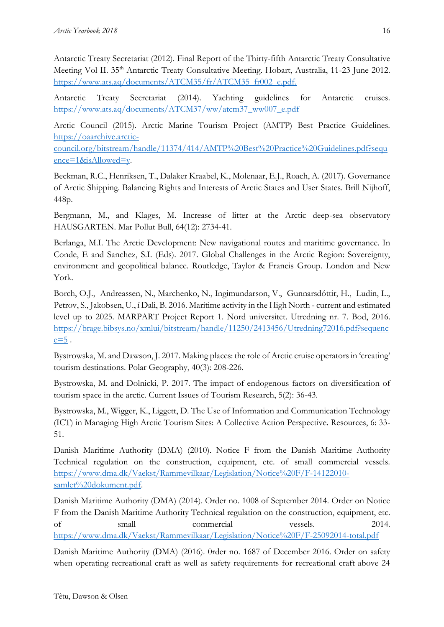Antarctic Treaty Secretariat (2012). Final Report of the Thirty-fifth Antarctic Treaty Consultative Meeting Vol II. 35<sup>th</sup> Antarctic Treaty Consultative Meeting. Hobart, Australia, 11-23 June 2012. [https://www.ats.aq/documents/ATCM35/fr/ATCM35\\_fr002\\_e.pdf.](https://www.ats.aq/documents/ATCM35/fr/ATCM35_fr002_e.pdf)

Antarctic Treaty Secretariat (2014). Yachting guidelines for Antarctic cruises. [https://www.ats.aq/documents/ATCM37/ww/atcm37\\_ww007\\_e.pdf](https://www.ats.aq/documents/ATCM37/ww/atcm37_ww007_e.pdf)

Arctic Council (2015). Arctic Marine Tourism Project (AMTP) Best Practice Guidelines. [https://oaarchive.arctic-](https://oaarchive.arctic-council.org/bitstream/handle/11374/414/AMTP%20Best%20Practice%20Guidelines.pdf?sequence=1&isAllowed=y)

[council.org/bitstream/handle/11374/414/AMTP%20Best%20Practice%20Guidelines.pdf?sequ](https://oaarchive.arctic-council.org/bitstream/handle/11374/414/AMTP%20Best%20Practice%20Guidelines.pdf?sequence=1&isAllowed=y) [ence=1&isAllowed=y.](https://oaarchive.arctic-council.org/bitstream/handle/11374/414/AMTP%20Best%20Practice%20Guidelines.pdf?sequence=1&isAllowed=y)

Beckman, R.C., Henriksen, T., Dalaker Kraabel, K., Molenaar, E.J., Roach, A. (2017). Governance of Arctic Shipping. Balancing Rights and Interests of Arctic States and User States. Brill Nijhoff, 448p.

Bergmann, M., and Klages, M. Increase of litter at the Arctic deep-sea observatory HAUSGARTEN. Mar Pollut Bull, 64(12): 2734-41.

Berlanga, M.I. The Arctic Development: New navigational routes and maritime governance. In Conde, E and Sanchez, S.I. (Eds). 2017. Global Challenges in the Arctic Region: Sovereignty, environment and geopolitical balance. Routledge, Taylor & Francis Group. London and New York.

Borch, O.J., Andreassen, N., Marchenko, N., Ingimundarson, V., Gunnarsdóttir, H., Ludin, L., Petrov, S., Jakobsen, U., í Dali, B. 2016. Maritime activity in the High North - current and estimated level up to 2025. MARPART Project Report 1. Nord universitet. Utredning nr. 7. Bod, 2016. [https://brage.bibsys.no/xmlui/bitstream/handle/11250/2413456/Utredning72016.pdf?sequenc](https://brage.bibsys.no/xmlui/bitstream/handle/11250/2413456/Utredning72016.pdf?sequence=5)  $e=5$ .

Bystrowska, M. and Dawson, J. 2017. Making places: the role of Arctic cruise operators in 'creating' tourism destinations. Polar Geography, 40(3): 208-226.

Bystrowska, M. and Dolnicki, P. 2017. The impact of endogenous factors on diversification of tourism space in the arctic. Current Issues of Tourism Research, 5(2): 36-43.

Bystrowska, M., Wigger, K., Liggett, D. The Use of Information and Communication Technology (ICT) in Managing High Arctic Tourism Sites: A Collective Action Perspective. Resources, 6: 33- 51.

Danish Maritime Authority (DMA) (2010). Notice F from the Danish Maritime Authority Technical regulation on the construction, equipment, etc. of small commercial vessels. [https://www.dma.dk/Vaekst/Rammevilkaar/Legislation/Notice%20F/F-14122010](https://www.dma.dk/Vaekst/Rammevilkaar/Legislation/Notice%20F/F-14122010-samlet%20dokument.pdf) [samlet%20dokument.pdf.](https://www.dma.dk/Vaekst/Rammevilkaar/Legislation/Notice%20F/F-14122010-samlet%20dokument.pdf)

Danish Maritime Authority (DMA) (2014). Order no. 1008 of September 2014. Order on Notice F from the Danish Maritime Authority Technical regulation on the construction, equipment, etc. of small commercial vessels. 2014. <https://www.dma.dk/Vaekst/Rammevilkaar/Legislation/Notice%20F/F-25092014-total.pdf>

Danish Maritime Authority (DMA) (2016). 0rder no. 1687 of December 2016. Order on safety when operating recreational craft as well as safety requirements for recreational craft above 24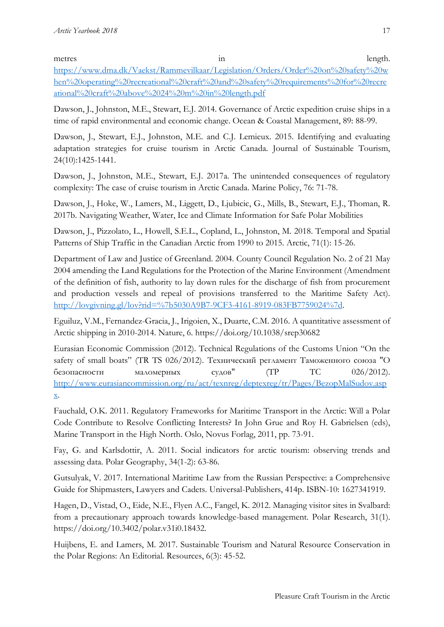metres in length. [https://www.dma.dk/Vaekst/Rammevilkaar/Legislation/Orders/Order%20on%20safety%20w](https://www.dma.dk/Vaekst/Rammevilkaar/Legislation/Orders/Order%20on%20safety%20when%20operating%20recreational%20craft%20and%20safety%20requirements%20for%20recreational%20craft%20above%2024%20m%20in%20length.pdf) [hen%20operating%20recreational%20craft%20and%20safety%20requirements%20for%20recre](https://www.dma.dk/Vaekst/Rammevilkaar/Legislation/Orders/Order%20on%20safety%20when%20operating%20recreational%20craft%20and%20safety%20requirements%20for%20recreational%20craft%20above%2024%20m%20in%20length.pdf) [ational%20craft%20above%2024%20m%20in%20length.pdf](https://www.dma.dk/Vaekst/Rammevilkaar/Legislation/Orders/Order%20on%20safety%20when%20operating%20recreational%20craft%20and%20safety%20requirements%20for%20recreational%20craft%20above%2024%20m%20in%20length.pdf)

Dawson, J., Johnston, M.E., Stewart, E.J. 2014. Governance of Arctic expedition cruise ships in a time of rapid environmental and economic change. Ocean & Coastal Management, 89: 88-99.

Dawson, J., Stewart, E.J., Johnston, M.E. and C.J. Lemieux. 2015. Identifying and evaluating adaptation strategies for cruise tourism in Arctic Canada. Journal of Sustainable Tourism, 24(10):1425-1441.

Dawson, J., Johnston, M.E., Stewart, E.J. 2017a. The unintended consequences of regulatory complexity: The case of cruise tourism in Arctic Canada. Marine Policy, 76: 71-78.

Dawson, J., Hoke, W., Lamers, M., Liggett, D., Ljubicic, G., Mills, B., Stewart, E.J., Thoman, R. 2017b. Navigating Weather, Water, Ice and Climate Information for Safe Polar Mobilities

Dawson, J., Pizzolato, L., Howell, S.E.L., Copland, L., Johnston, M. 2018. Temporal and Spatial Patterns of Ship Traffic in the Canadian Arctic from 1990 to 2015. Arctic, 71(1): 15-26.

Department of Law and Justice of Greenland. 2004. County Council Regulation No. 2 of 21 May 2004 amending the Land Regulations for the Protection of the Marine Environment (Amendment of the definition of fish, authority to lay down rules for the discharge of fish from procurement and production vessels and repeal of provisions transferred to the Maritime Safety Act). [http://lovgivning.gl/lov?rid=%7b5030A9B7-9CF3-4161-8919-083FB7759024%7d.](http://lovgivning.gl/lov?rid=%7b5030A9B7-9CF3-4161-8919-083FB7759024%7d)

Eguiluz, V.M., Fernandez-Gracia, J., Irigoien, X., Duarte, C.M. 2016. A quantitative assessment of Arctic shipping in 2010-2014. Nature, 6. https://doi.org/10.1038/srep30682

Eurasian Economic Commission (2012). Technical Regulations of the Customs Union "On the safety of small boats" (TR TS 026/2012). Технический регламент Таможенного союза "О безопасности маломерных судов"  $(TP)$  TC 026/2012). [http://www.eurasiancommission.org/ru/act/texnreg/deptexreg/tr/Pages/BezopMalSudov.asp](http://www.eurasiancommission.org/ru/act/texnreg/deptexreg/tr/Pages/BezopMalSudov.aspx) [x.](http://www.eurasiancommission.org/ru/act/texnreg/deptexreg/tr/Pages/BezopMalSudov.aspx)

Fauchald, O.K. 2011. Regulatory Frameworks for Maritime Transport in the Arctic: Will a Polar Code Contribute to Resolve Conflicting Interests? In John Grue and Roy H. Gabrielsen (eds), Marine Transport in the High North. Oslo, Novus Forlag, 2011, pp. 73-91.

Fay, G. and Karlsdottir, A. 2011. Social indicators for arctic tourism: observing trends and assessing data. Polar Geography, 34(1-2): 63-86.

Gutsulyak, V. 2017. International Maritime Law from the Russian Perspective: a Comprehensive Guide for Shipmasters, Lawyers and Cadets. Universal-Publishers, 414p. ISBN-10: 1627341919.

Hagen, D., Vistad, O., Eide, N.E., Flyen A.C., Fangel, K. 2012. Managing visitor sites in Svalbard: from a precautionary approach towards knowledge-based management. Polar Research, 31(1). https://doi.org/10.3402/polar.v31i0.18432.

Huijbens, E. and Lamers, M. 2017. Sustainable Tourism and Natural Resource Conservation in the Polar Regions: An Editorial. Resources, 6(3): 45-52.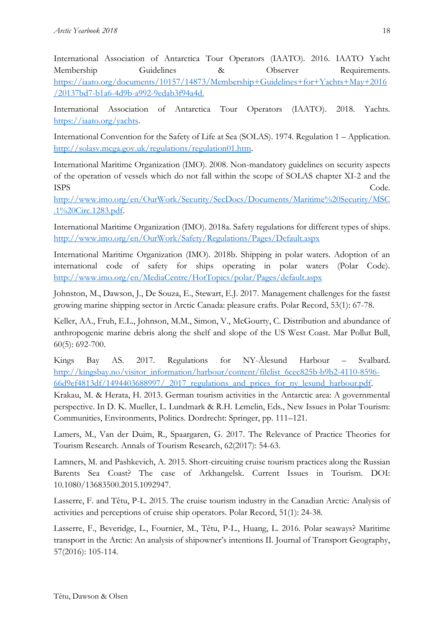International Association of Antarctica Tour Operators (IAATO). 2016. IAATO Yacht Membership Guidelines & Observer Requirements. [https://iaato.org/documents/10157/14873/Membership+Guidelines+for+Yachts+May+2016](https://iaato.org/documents/10157/14873/Membership+Guidelines+for+Yachts+May+2016/20137bd7-b1a6-4d9b-a992-9edab3f94a4d) [/20137bd7-b1a6-4d9b-a992-9edab3f94a4d.](https://iaato.org/documents/10157/14873/Membership+Guidelines+for+Yachts+May+2016/20137bd7-b1a6-4d9b-a992-9edab3f94a4d)

International Association of Antarctica Tour Operators (IAATO). 2018. Yachts. [https://iaato.org/yachts.](https://iaato.org/yachts)

International Convention for the Safety of Life at Sea (SOLAS). 1974. Regulation 1 – Application. [http://solasv.mcga.gov.uk/regulations/regulation01.htm.](http://solasv.mcga.gov.uk/regulations/regulation01.htm)

International Maritime Organization (IMO). 2008. Non-mandatory guidelines on security aspects of the operation of vessels which do not fall within the scope of SOLAS chapter XI-2 and the ISPS Code.

[http://www.imo.org/en/OurWork/Security/SecDocs/Documents/Maritime%20Security/MSC](http://www.imo.org/en/OurWork/Security/SecDocs/Documents/Maritime%20Security/MSC.1%20Circ.1283.pdf) [.1%20Circ.1283.pdf.](http://www.imo.org/en/OurWork/Security/SecDocs/Documents/Maritime%20Security/MSC.1%20Circ.1283.pdf)

International Maritime Organization (IMO). 2018a. Safety regulations for different types of ships. <http://www.imo.org/en/OurWork/Safety/Regulations/Pages/Default.aspx>

International Maritime Organization (IMO). 2018b. Shipping in polar waters. Adoption of an international code of safety for ships operating in polar waters (Polar Code). <http://www.imo.org/en/MediaCentre/HotTopics/polar/Pages/default.aspx>

Johnston, M., Dawson, J., De Souza, E., Stewart, E.J. 2017. Management challenges for the fastst growing marine shipping sector in Arctic Canada: pleasure crafts. Polar Record, 53(1): 67-78.

Keller, AA., Fruh, E.L., Johnson, M.M., Simon, V., McGourty, C. Distribution and abundance of anthropogenic marine debris along the shelf and slope of the US West Coast. Mar Pollut Bull, 60(5): 692-700.

Kings Bay AS. 2017. Regulations for NY-Ålesund Harbour – Svalbard. [http://kingsbay.no/visitor\\_information/harbour/content/filelist\\_6cec825b-b9b2-4110-8596-](http://kingsbay.no/visitor_information/harbour/content/filelist_6cec825b-b9b2-4110-8596-66d9ef4813df/1494403688997/_2017_regulations_and_prices_for_ny_lesund_harbour.pdf) [66d9ef4813df/1494403688997/\\_2017\\_regulations\\_and\\_prices\\_for\\_ny\\_lesund\\_harbour.pdf.](http://kingsbay.no/visitor_information/harbour/content/filelist_6cec825b-b9b2-4110-8596-66d9ef4813df/1494403688997/_2017_regulations_and_prices_for_ny_lesund_harbour.pdf)

Krakau, M. & Herata, H. 2013. German tourism activities in the Antarctic area: A governmental perspective. In D. K. Mueller, L. Lundmark & R.H. Lemelin, Eds., New Issues in Polar Tourism: Communities, Environments, Politics. Dordrecht: Springer, pp. 111–121.

Lamers, M., Van der Duim, R., Spaargaren, G. 2017. The Relevance of Practice Theories for Tourism Research. Annals of Tourism Research, 62(2017): 54-63.

Lamners, M. and Pashkevich, A. 2015. Short-circuiting cruise tourism practices along the Russian Barents Sea Coast? The case of Arkhangelsk. Current Issues in Tourism. DOI: 10.1080/13683500.2015.1092947.

Lasserre, F. and Têtu, P-L. 2015. The cruise tourism industry in the Canadian Arctic: Analysis of activities and perceptions of cruise ship operators. Polar Record, 51(1): 24-38.

Lasserre, F., Beveridge, L., Fournier, M., Têtu, P-L., Huang, L. 2016. Polar seaways? Maritime transport in the Arctic: An analysis of shipowner's intentions II. Journal of Transport Geography, 57(2016): 105-114.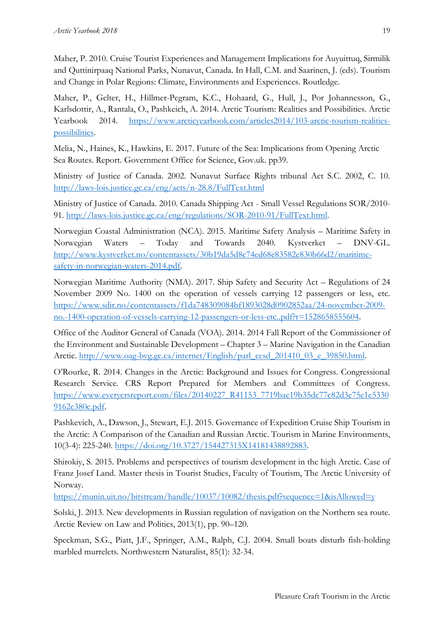Maher, P. 2010. Cruise Tourist Experiences and Management Implications for Auyuittuq, Sirmilik and Quttinirpaaq National Parks, Nunavut, Canada. In Hall, C.M. and Saarinen, J. (eds). Tourism and Change in Polar Regions: Climate, Environments and Experiences. Routledge.

Maher, P., Gelter, H., Hillmer-Pegram, K.C., Hohaard, G., Hull, J., Por Johannesson, G., Karlsdottir, A., Rantala, O., Pashkeich, A. 2014. Arctic Tourism: Realities and Possibilities. Arctic Yearbook 2014. [https://www.arcticyearbook.com/articles2014/103-arctic-tourism-realities](https://www.arcticyearbook.com/articles2014/103-arctic-tourism-realities-possibilities)[possibilities.](https://www.arcticyearbook.com/articles2014/103-arctic-tourism-realities-possibilities)

Melia, N., Haines, K., Hawkins, E. 2017. Future of the Sea: Implications from Opening Arctic Sea Routes. Report. Government Office for Science, Gov.uk. pp39.

Ministry of Justice of Canada. 2002. Nunavut Surface Rights tribunal Act S.C. 2002, C. 10. <http://laws-lois.justice.gc.ca/eng/acts/n-28.8/FullText.html>

Ministry of Justice of Canada. 2010. Canada Shipping Act - Small Vessel Regulations SOR/2010- 91. [http://laws-lois.justice.gc.ca/eng/regulations/SOR-2010-91/FullText.html.](http://laws-lois.justice.gc.ca/eng/regulations/SOR-2010-91/FullText.html)

Norwegian Coastal Administration (NCA). 2015. Maritime Safety Analysis – Maritime Safety in Norwegian Waters – Today and Towards 2040. Kystverket – DNV-GL. [http://www.kystverket.no/contentassets/30b19da5d8c74ed68e83582e830b66d2/maritime](http://www.kystverket.no/contentassets/30b19da5d8c74ed68e83582e830b66d2/maritime-safety-in-norwegian-waters-2014.pdf)[safety-in-norwegian-waters-2014.pdf.](http://www.kystverket.no/contentassets/30b19da5d8c74ed68e83582e830b66d2/maritime-safety-in-norwegian-waters-2014.pdf)

Norwegian Maritime Authority (NMA). 2017. Ship Safety and Security Act – Regulations of 24 November 2009 No. 1400 on the operation of vessels carrying 12 passengers or less, etc. [https://www.sdir.no/contentassets/f1da748309084bf1893028d0902852aa/24-november-2009](https://www.sdir.no/contentassets/f1da748309084bf1893028d0902852aa/24-november-2009-no.-1400-operation-of-vessels-carrying-12-passengers-or-less-etc..pdf?t=1528658555604) [no.-1400-operation-of-vessels-carrying-12-passengers-or-less-etc..pdf?t=1528658555604.](https://www.sdir.no/contentassets/f1da748309084bf1893028d0902852aa/24-november-2009-no.-1400-operation-of-vessels-carrying-12-passengers-or-less-etc..pdf?t=1528658555604)

Office of the Auditor General of Canada (VOA). 2014. 2014 Fall Report of the Commissioner of the Environment and Sustainable Development – Chapter 3 – Marine Navigation in the Canadian Arctic. [http://www.oag-bvg.gc.ca/internet/English/parl\\_cesd\\_201410\\_03\\_e\\_39850.html.](http://www.oag-bvg.gc.ca/internet/English/parl_cesd_201410_03_e_39850.html)

O'Rourke, R. 2014. Changes in the Arctic: Background and Issues for Congress. Congressional Research Service. CRS Report Prepared for Members and Committees of Congress. [https://www.everycrsreport.com/files/20140227\\_R41153\\_7719bae19b35dc77c82d3e75e1e5330](https://www.everycrsreport.com/files/20140227_R41153_7719bae19b35dc77c82d3e75e1e53309162c380c.pdf) [9162c380c.pdf.](https://www.everycrsreport.com/files/20140227_R41153_7719bae19b35dc77c82d3e75e1e53309162c380c.pdf)

Pashkevich, A., Dawson, J., Stewart, E.J. 2015. Governance of Expedition Cruise Ship Tourism in the Arctic: A Comparison of the Canadian and Russian Arctic. Tourism in Marine Environments, 10(3-4): 225-240. [https://doi.org/10.3727/154427315X14181438892883.](https://doi.org/10.3727/154427315X14181438892883)

Shirokiy, S. 2015. Problems and perspectives of tourism development in the high Arctic. Case of Franz Josef Land. Master thesis in Tourist Studies, Faculty of Tourism, The Arctic University of Norway.

<https://munin.uit.no/bitstream/handle/10037/10082/thesis.pdf?sequence=1&isAllowed=y>

Solski, J. 2013. New developments in Russian regulation of navigation on the Northern sea route. Arctic Review on Law and Politics, 2013(1), pp. 90–120.

Speckman, S.G., Piatt, J.F., Springer, A.M., Ralph, C.J. 2004. Small boats disturb fish-holding marbled murrelets. Northwestern Naturalist, 85(1): 32-34.